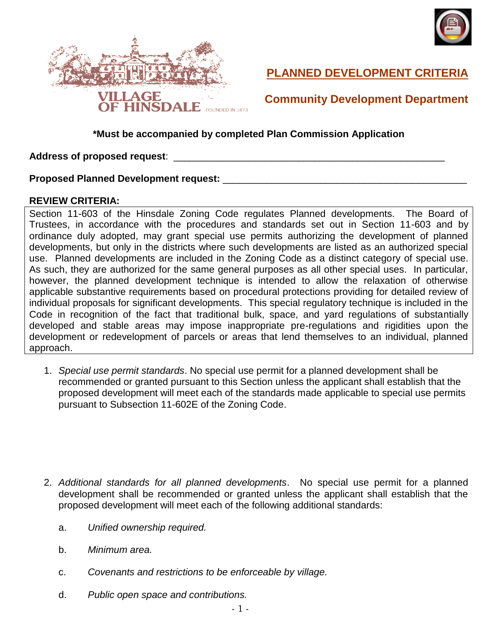



# **PLANNED DEVELOPMENT CRITERIA**

# **Community Development Department**

### **\*Must be accompanied by completed Plan Commission Application**

#### **Address of proposed request**: \_\_\_\_\_\_\_\_\_\_\_\_\_\_\_\_\_\_\_\_\_\_\_\_\_\_\_\_\_\_\_\_\_\_\_\_\_\_\_\_\_\_\_\_\_\_\_\_\_\_

### **Proposed Planned Development request:**  $\blacksquare$

#### **REVIEW CRITERIA:**

Section 11-603 of the Hinsdale Zoning Code regulates Planned developments. The Board of Trustees, in accordance with the procedures and standards set out in Section 11-603 and by ordinance duly adopted, may grant special use permits authorizing the development of planned developments, but only in the districts where such developments are listed as an authorized special use. Planned developments are included in the Zoning Code as a distinct category of special use. As such, they are authorized for the same general purposes as all other special uses. In particular, however, the planned development technique is intended to allow the relaxation of otherwise applicable substantive requirements based on procedural protections providing for detailed review of individual proposals for significant developments. This special regulatory technique is included in the Code in recognition of the fact that traditional bulk, space, and yard regulations of substantially developed and stable areas may impose inappropriate pre-regulations and rigidities upon the development or redevelopment of parcels or areas that lend themselves to an individual, planned approach.

1. *Special use permit standards*. No special use permit for a planned development shall be recommended or granted pursuant to this Section unless the applicant shall establish that the proposed development will meet each of the standards made applicable to special use permits pursuant to Subsection 11-602E of the Zoning Code.

- 2. *Additional standards for all planned developments*. No special use permit for a planned development shall be recommended or granted unless the applicant shall establish that the proposed development will meet each of the following additional standards:
	- a. *Unified ownership required.*
	- b. *Minimum area.*
	- c. *Covenants and restrictions to be enforceable by village.*
	- d. *Public open space and contributions.*